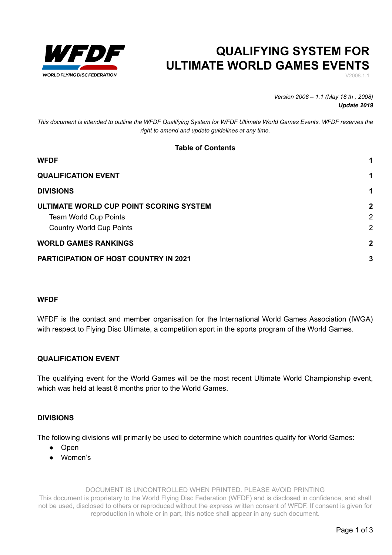

## **QUALIFYING SYSTEM FOR ULTIMATE WORLD GAMES EVENTS**

V2008.1.1

*Version 2008 – 1.1 (May 18 th , 2008) Update 2019*

*This document is intended to outline the WFDF Qualifying System for WFDF Ultimate World Games Events. WFDF reserves the right to amend and update guidelines at any time.*

### **Table of Contents**

| <b>WFDF</b>                                  |                |
|----------------------------------------------|----------------|
| <b>QUALIFICATION EVENT</b>                   |                |
| <b>DIVISIONS</b>                             |                |
| ULTIMATE WORLD CUP POINT SCORING SYSTEM      | $\mathbf{2}$   |
| <b>Team World Cup Points</b>                 | $\overline{2}$ |
| <b>Country World Cup Points</b>              | $\overline{2}$ |
| <b>WORLD GAMES RANKINGS</b>                  | $\mathbf{2}$   |
| <b>PARTICIPATION OF HOST COUNTRY IN 2021</b> | 3              |

#### <span id="page-0-0"></span>**WFDF**

WFDF is the contact and member organisation for the International World Games Association (IWGA) with respect to Flying Disc Ultimate, a competition sport in the sports program of the World Games.

### <span id="page-0-1"></span>**QUALIFICATION EVENT**

The qualifying event for the World Games will be the most recent Ultimate World Championship event, which was held at least 8 months prior to the World Games.

### <span id="page-0-2"></span>**DIVISIONS**

The following divisions will primarily be used to determine which countries qualify for World Games:

- Open
- Women's

DOCUMENT IS UNCONTROLLED WHEN PRINTED. PLEASE AVOID PRINTING

This document is proprietary to the World Flying Disc Federation (WFDF) and is disclosed in confidence, and shall not be used, disclosed to others or reproduced without the express written consent of WFDF. If consent is given for reproduction in whole or in part, this notice shall appear in any such document.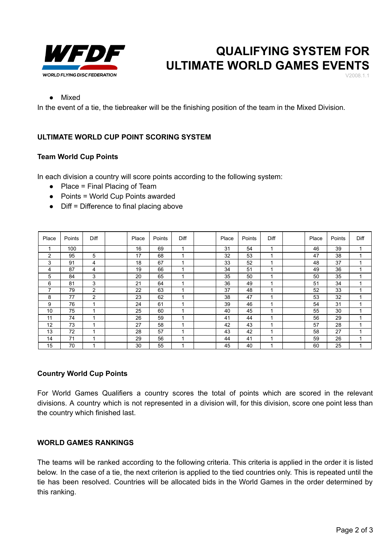

# **QUALIFYING SYSTEM FOR ULTIMATE WORLD GAMES EVENTS**

V2008.1.1

#### ● Mixed

In the event of a tie, the tiebreaker will be the finishing position of the team in the Mixed Division*.*

## <span id="page-1-0"></span>**ULTIMATE WORLD CUP POINT SCORING SYSTEM**

#### <span id="page-1-1"></span>**Team World Cup Points**

In each division a country will score points according to the following system:

- $\bullet$  Place = Final Placing of Team
- Points = World Cup Points awarded
- Diff = Difference to final placing above

| Place | Points | Diff | Place | Points | Diff | Place | Points | Diff | Place | Points | Diff |
|-------|--------|------|-------|--------|------|-------|--------|------|-------|--------|------|
| 1     | 100    |      | 16    | 69     |      | 31    | 54     | ٠    | 46    | 39     |      |
| 2     | 95     | 5    | 17    | 68     |      | 32    | 53     | ٠    | 47    | 38     |      |
| 3     | 91     | 4    | 18    | 67     |      | 33    | 52     | 1    | 48    | 37     |      |
| 4     | 87     | 4    | 19    | 66     |      | 34    | 51     | ٠    | 49    | 36     |      |
| 5     | 84     | 3    | 20    | 65     |      | 35    | 50     | ٠    | 50    | 35     |      |
| 6     | 81     | 3    | 21    | 64     | и    | 36    | 49     | ٠    | 51    | 34     |      |
| 7     | 79     | 2    | 22    | 63     |      | 37    | 48     | 4    | 52    | 33     |      |
| 8     | 77     | 2    | 23    | 62     |      | 38    | 47     |      | 53    | 32     |      |
| 9     | 76     | 1    | 24    | 61     | и    | 39    | 46     | ٠    | 54    | 31     |      |
| 10    | 75     | 1    | 25    | 60     |      | 40    | 45     | ٠    | 55    | 30     |      |
| 11    | 74     | 1    | 26    | 59     |      | 41    | 44     | ٠    | 56    | 29     |      |
| 12    | 73     | 1    | 27    | 58     |      | 42    | 43     | ٠    | 57    | 28     |      |
| 13    | 72     | 1    | 28    | 57     |      | 43    | 42     | ٠    | 58    | 27     |      |
| 14    | 71     | 1    | 29    | 56     |      | 44    | 41     | ۸    | 59    | 26     |      |
| 15    | 70     | 1    | 30    | 55     |      | 45    | 40     | ٠    | 60    | 25     |      |

#### <span id="page-1-2"></span>**Country World Cup Points**

For World Games Qualifiers a country scores the total of points which are scored in the relevant divisions. A country which is not represented in a division will, for this division, score one point less than the country which finished last.

### <span id="page-1-3"></span>**WORLD GAMES RANKINGS**

The teams will be ranked according to the following criteria. This criteria is applied in the order it is listed below. In the case of a tie, the next criterion is applied to the tied countries only. This is repeated until the tie has been resolved. Countries will be allocated bids in the World Games in the order determined by this ranking.